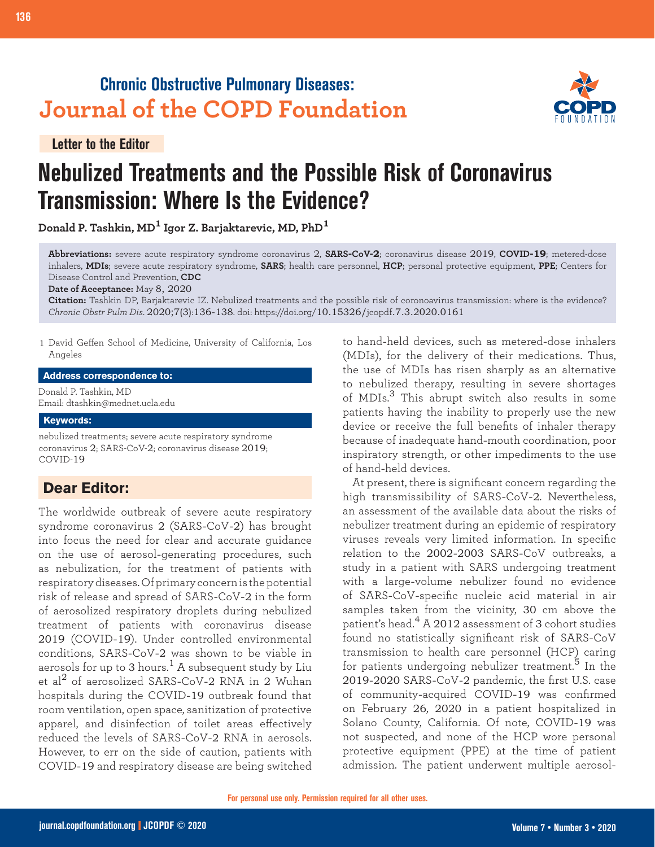## **Chronic Obstructive Pulmonary Diseases: Journal of the COPD Foundation**

**Letter to the Editor**



# **Nebulized Treatments and the Possible Risk of Coronavirus Transmission: Where Is the Evidence?**

**Donald P. Tashkin, MD1 Igor Z. Barjaktarevic, MD, PhD<sup>1</sup>**

**Abbreviations:** severe acute respiratory syndrome coronavirus 2, **SARS-CoV-2**; coronavirus disease 2019, **COVID-19**; metered-dose inhalers, **MDIs**; severe acute respiratory syndrome, **SARS**; health care personnel, **HCP**; personal protective equipment, **PPE**; Centers for Disease Control and Prevention, **CDC**

**Date of Acceptance:** May 8, 2020

**Citation:** Tashkin DP, Barjaktarevic IZ. Nebulized treatments and the possible risk of coronoavirus transmission: where is the evidence? *Chronic Obstr Pulm Dis*. 2020;7(3):136-138. doi: https://doi.org/10.15326/jcopdf.7.3.2020.0161

1 David Geffen School of Medicine, University of California, Los Angeles

**Address correspondence to:**

Donald P. Tashkin, MD Email: dtashkin@mednet.ucla.edu

#### **Keywords:**

nebulized treatments; severe acute respiratory syndrome coronavirus 2; SARS-CoV-2; coronavirus disease 2019; COVID-19

## **Dear Editor:**

The worldwide outbreak of severe acute respiratory syndrome coronavirus 2 (SARS-CoV-2) has brought into focus the need for clear and accurate guidance on the use of aerosol-generating procedures, such as nebulization, for the treatment of patients with respiratory diseases. Of primary concern is the potential risk of release and spread of SARS-CoV-2 in the form of aerosolized respiratory droplets during nebulized treatment of patients with coronavirus disease 2019 (COVID-19). Under controlled environmental conditions, SARS-CoV-2 was shown to be viable in aerosols for up to 3 hours.<sup>1</sup> A subsequent study by Liu et al<sup>2</sup> of aerosolized SARS-CoV-2 RNA in 2 Wuhan hospitals during the COVID-19 outbreak found that room ventilation, open space, sanitization of protective apparel, and disinfection of toilet areas effectively reduced the levels of SARS-CoV-2 RNA in aerosols. However, to err on the side of caution, patients with COVID-19 and respiratory disease are being switched

to hand-held devices, such as metered-dose inhalers (MDIs), for the delivery of their medications. Thus, the use of MDIs has risen sharply as an alternative to nebulized therapy, resulting in severe shortages of MDIs.3 This abrupt switch also results in some patients having the inability to properly use the new device or receive the full benefits of inhaler therapy because of inadequate hand-mouth coordination, poor inspiratory strength, or other impediments to the use of hand-held devices.

At present, there is significant concern regarding the high transmissibility of SARS-CoV-2. Nevertheless, an assessment of the available data about the risks of nebulizer treatment during an epidemic of respiratory viruses reveals very limited information. In specific relation to the 2002-2003 SARS-CoV outbreaks, a study in a patient with SARS undergoing treatment with a large-volume nebulizer found no evidence of SARS-CoV-specific nucleic acid material in air samples taken from the vicinity, 30 cm above the patient's head. $4$  A 2012 assessment of 3 cohort studies found no statistically significant risk of SARS-CoV transmission to health care personnel (HCP) caring for patients undergoing nebulizer treatment.<sup>5</sup> In the 2019-2020 SARS-CoV-2 pandemic, the first U.S. case of community-acquired COVID-19 was confirmed on February 26, 2020 in a patient hospitalized in Solano County, California. Of note, COVID-19 was not suspected, and none of the HCP wore personal protective equipment (PPE) at the time of patient admission. The patient underwent multiple aerosol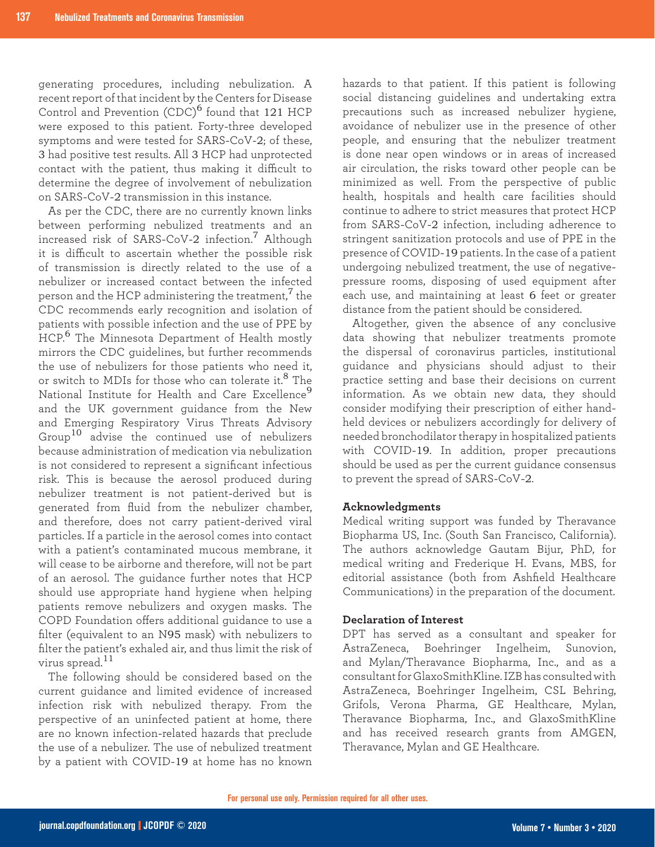generating procedures, including nebulization. A recent report of that incident by the Centers for Disease Control and Prevention (CDC)<sup>6</sup> found that 121 HCP were exposed to this patient. Forty-three developed symptoms and were tested for SARS-CoV-2; of these, 3 had positive test results. All 3 HCP had unprotected contact with the patient, thus making it difficult to determine the degree of involvement of nebulization on SARS-CoV-2 transmission in this instance.

As per the CDC, there are no currently known links between performing nebulized treatments and an increased risk of SARS-CoV-2 infection.7 Although it is difficult to ascertain whether the possible risk of transmission is directly related to the use of a nebulizer or increased contact between the infected person and the HCP administering the treatment,<sup>7</sup> the CDC recommends early recognition and isolation of patients with possible infection and the use of PPE by HCP.<sup>6</sup> The Minnesota Department of Health mostly mirrors the CDC guidelines, but further recommends the use of nebulizers for those patients who need it, or switch to MDIs for those who can tolerate it.<sup>8</sup> The National Institute for Health and Care Excellence<sup>9</sup> and the UK government guidance from the New and Emerging Respiratory Virus Threats Advisory Group10 advise the continued use of nebulizers because administration of medication via nebulization is not considered to represent a significant infectious risk. This is because the aerosol produced during nebulizer treatment is not patient-derived but is generated from fluid from the nebulizer chamber, and therefore, does not carry patient-derived viral particles. If a particle in the aerosol comes into contact with a patient's contaminated mucous membrane, it will cease to be airborne and therefore, will not be part of an aerosol. The guidance further notes that HCP should use appropriate hand hygiene when helping patients remove nebulizers and oxygen masks. The COPD Foundation offers additional guidance to use a filter (equivalent to an N95 mask) with nebulizers to filter the patient's exhaled air, and thus limit the risk of virus spread.<sup>11</sup>

The following should be considered based on the current guidance and limited evidence of increased infection risk with nebulized therapy. From the perspective of an uninfected patient at home, there are no known infection-related hazards that preclude the use of a nebulizer. The use of nebulized treatment by a patient with COVID-19 at home has no known

hazards to that patient. If this patient is following social distancing guidelines and undertaking extra precautions such as increased nebulizer hygiene, avoidance of nebulizer use in the presence of other people, and ensuring that the nebulizer treatment is done near open windows or in areas of increased air circulation, the risks toward other people can be minimized as well. From the perspective of public health, hospitals and health care facilities should continue to adhere to strict measures that protect HCP from SARS-CoV-2 infection, including adherence to stringent sanitization protocols and use of PPE in the presence of COVID-19 patients. In the case of a patient undergoing nebulized treatment, the use of negativepressure rooms, disposing of used equipment after each use, and maintaining at least 6 feet or greater distance from the patient should be considered.

Altogether, given the absence of any conclusive data showing that nebulizer treatments promote the dispersal of coronavirus particles, institutional guidance and physicians should adjust to their practice setting and base their decisions on current information. As we obtain new data, they should consider modifying their prescription of either handheld devices or nebulizers accordingly for delivery of needed bronchodilator therapy in hospitalized patients with COVID-19. In addition, proper precautions should be used as per the current guidance consensus to prevent the spread of SARS-CoV-2.

### **Acknowledgments**

Medical writing support was funded by Theravance Biopharma US, Inc. (South San Francisco, California). The authors acknowledge Gautam Bijur, PhD, for medical writing and Frederique H. Evans, MBS, for editorial assistance (both from Ashfield Healthcare Communications) in the preparation of the document.

## **Declaration of Interest**

DPT has served as a consultant and speaker for AstraZeneca, Boehringer Ingelheim, Sunovion, and Mylan/Theravance Biopharma, Inc., and as a consultant for GlaxoSmithKline. IZB has consulted with AstraZeneca, Boehringer Ingelheim, CSL Behring, Grifols, Verona Pharma, GE Healthcare, Mylan, Theravance Biopharma, Inc., and GlaxoSmithKline and has received research grants from AMGEN, Theravance, Mylan and GE Healthcare.